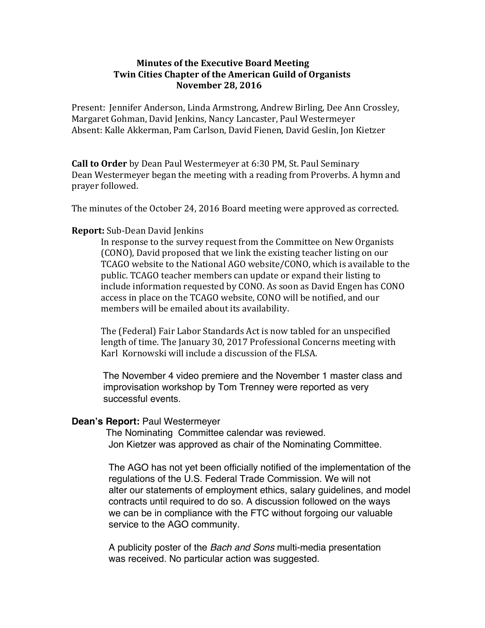# **Minutes of the Executive Board Meeting Twin Cities Chapter of the American Guild of Organists November 28, 2016**

Present: Jennifer Anderson, Linda Armstrong, Andrew Birling, Dee Ann Crossley, Margaret Gohman, David Jenkins, Nancy Lancaster, Paul Westermeyer Absent: Kalle Akkerman, Pam Carlson, David Fienen, David Geslin, Jon Kietzer

**Call to Order** by Dean Paul Westermeyer at 6:30 PM, St. Paul Seminary Dean Westermeyer began the meeting with a reading from Proverbs. A hymn and prayer followed.

The minutes of the October 24, 2016 Board meeting were approved as corrected.

## **Report:** Sub-Dean David Jenkins

In response to the survey request from the Committee on New Organists (CONO), David proposed that we link the existing teacher listing on our TCAGO website to the National AGO website/CONO, which is available to the public. TCAGO teacher members can update or expand their listing to include information requested by CONO. As soon as David Engen has CONO access in place on the TCAGO website, CONO will be notified, and our members will be emailed about its availability.

The (Federal) Fair Labor Standards Act is now tabled for an unspecified length of time. The January 30, 2017 Professional Concerns meeting with Karl Kornowski will include a discussion of the FLSA.

 The November 4 video premiere and the November 1 master class and improvisation workshop by Tom Trenney were reported as very successful events.

### **Dean's Report:** Paul Westermeyer

 The Nominating Committee calendar was reviewed. Jon Kietzer was approved as chair of the Nominating Committee.

 The AGO has not yet been officially notified of the implementation of the regulations of the U.S. Federal Trade Commission. We will not alter our statements of employment ethics, salary guidelines, and model contracts until required to do so. A discussion followed on the ways we can be in compliance with the FTC without forgoing our valuable service to the AGO community.

 A publicity poster of the *Bach and Sons* multi-media presentation was received. No particular action was suggested.